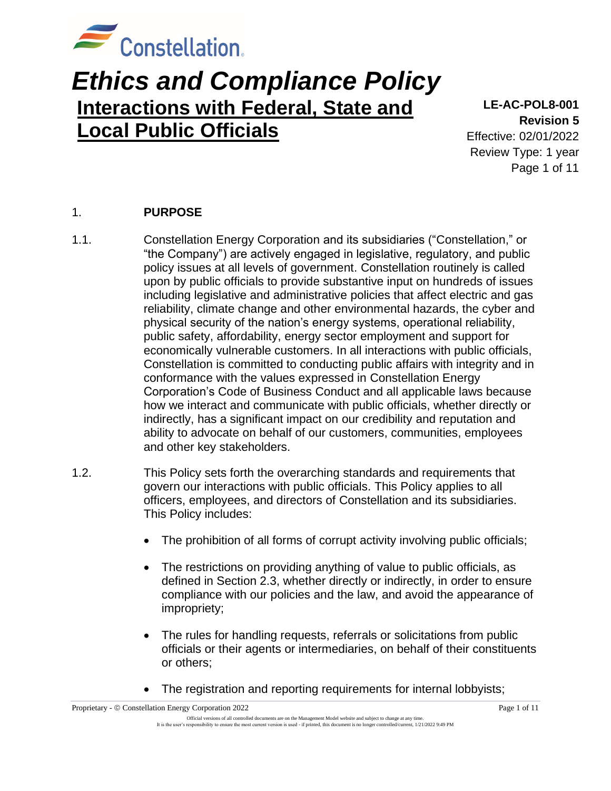

# *Ethics and Compliance Policy* **Interactions with Federal, State and Local Public Officials**

**LE-AC-POL8-001 Revision 5** Effective: 02/01/2022 Review Type: 1 year Page 1 of 11

### 1. **PURPOSE**

- 1.1. Constellation Energy Corporation and its subsidiaries ("Constellation," or "the Company") are actively engaged in legislative, regulatory, and public policy issues at all levels of government. Constellation routinely is called upon by public officials to provide substantive input on hundreds of issues including legislative and administrative policies that affect electric and gas reliability, climate change and other environmental hazards, the cyber and physical security of the nation's energy systems, operational reliability, public safety, affordability, energy sector employment and support for economically vulnerable customers. In all interactions with public officials, Constellation is committed to conducting public affairs with integrity and in conformance with the values expressed in Constellation Energy Corporation's Code of Business Conduct and all applicable laws because how we interact and communicate with public officials, whether directly or indirectly, has a significant impact on our credibility and reputation and ability to advocate on behalf of our customers, communities, employees and other key stakeholders.
- 1.2. This Policy sets forth the overarching standards and requirements that govern our interactions with public officials. This Policy applies to all officers, employees, and directors of Constellation and its subsidiaries. This Policy includes:
	- The prohibition of all forms of corrupt activity involving public officials;
	- The restrictions on providing anything of value to public officials, as defined in Section 2.3, whether directly or indirectly, in order to ensure compliance with our policies and the law, and avoid the appearance of impropriety;
	- The rules for handling requests, referrals or solicitations from public officials or their agents or intermediaries, on behalf of their constituents or others;
	- The registration and reporting requirements for internal lobbyists;

Proprietary - © Constellation Energy Corporation 2022 Page 1 of 11 Official versions of all controlled documents are on the Management Model website and subject to change at any time. It is the user's responsibility to ensure the most current version is used - if printed, this document is no longer controlled/current, 1/21/2022 9:49 PM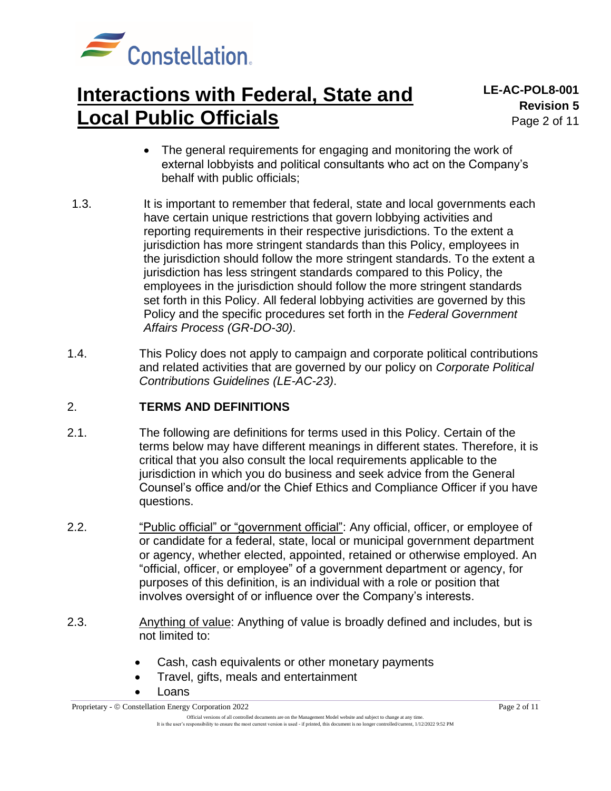

- The general requirements for engaging and monitoring the work of external lobbyists and political consultants who act on the Company's behalf with public officials;
- 1.3. It is important to remember that federal, state and local governments each have certain unique restrictions that govern lobbying activities and reporting requirements in their respective jurisdictions. To the extent a jurisdiction has more stringent standards than this Policy, employees in the jurisdiction should follow the more stringent standards. To the extent a jurisdiction has less stringent standards compared to this Policy, the employees in the jurisdiction should follow the more stringent standards set forth in this Policy. All federal lobbying activities are governed by this Policy and the specific procedures set forth in the *Federal Government Affairs Process (GR-DO-30)*.
- 1.4. This Policy does not apply to campaign and corporate political contributions and related activities that are governed by our policy on *Corporate Political Contributions Guidelines (LE-AC-23)*.

### 2. **TERMS AND DEFINITIONS**

- 2.1. The following are definitions for terms used in this Policy. Certain of the terms below may have different meanings in different states. Therefore, it is critical that you also consult the local requirements applicable to the jurisdiction in which you do business and seek advice from the General Counsel's office and/or the Chief Ethics and Compliance Officer if you have questions.
- 2.2. "Public official" or "government official": Any official, officer, or employee of or candidate for a federal, state, local or municipal government department or agency, whether elected, appointed, retained or otherwise employed. An "official, officer, or employee" of a government department or agency, for purposes of this definition, is an individual with a role or position that involves oversight of or influence over the Company's interests.
- 2.3. Anything of value: Anything of value is broadly defined and includes, but is not limited to:
	- Cash, cash equivalents or other monetary payments
	- Travel, gifts, meals and entertainment
	- Loans

Proprietary - © Constellation Energy Corporation 2022

Official versions of all controlled documents are on the Management Model website and subject to change at any time. It is the user's responsibility to ensure the most current version is used - if printed, this document is no longer controlled/current, 1/12/2022 9:52 PM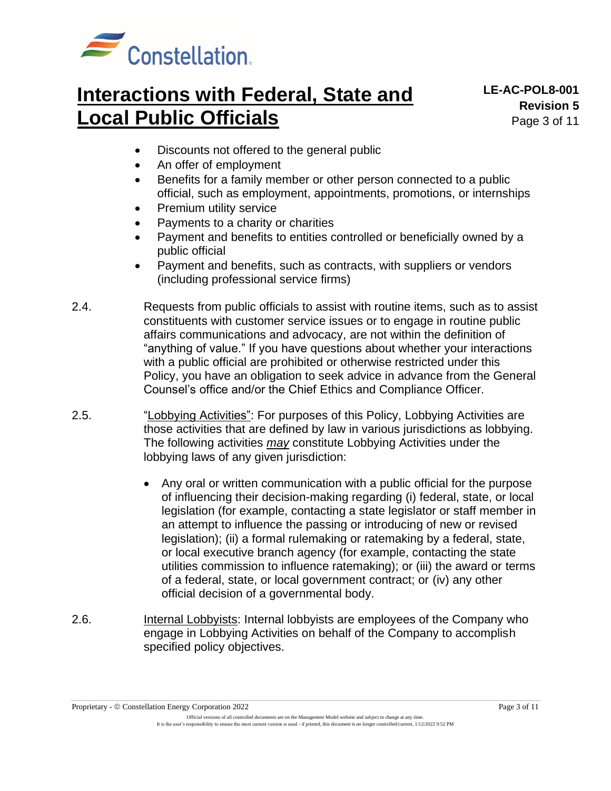

- Discounts not offered to the general public
- An offer of employment
- Benefits for a family member or other person connected to a public official, such as employment, appointments, promotions, or internships
- Premium utility service
- Payments to a charity or charities
- Payment and benefits to entities controlled or beneficially owned by a public official
- Payment and benefits, such as contracts, with suppliers or vendors (including professional service firms)
- 2.4. Requests from public officials to assist with routine items, such as to assist constituents with customer service issues or to engage in routine public affairs communications and advocacy, are not within the definition of "anything of value." If you have questions about whether your interactions with a public official are prohibited or otherwise restricted under this Policy, you have an obligation to seek advice in advance from the General Counsel's office and/or the Chief Ethics and Compliance Officer.
- 2.5. "Lobbying Activities": For purposes of this Policy, Lobbying Activities are those activities that are defined by law in various jurisdictions as lobbying. The following activities *may* constitute Lobbying Activities under the lobbying laws of any given jurisdiction:
	- Any oral or written communication with a public official for the purpose of influencing their decision-making regarding (i) federal, state, or local legislation (for example, contacting a state legislator or staff member in an attempt to influence the passing or introducing of new or revised legislation); (ii) a formal rulemaking or ratemaking by a federal, state, or local executive branch agency (for example, contacting the state utilities commission to influence ratemaking); or (iii) the award or terms of a federal, state, or local government contract; or (iv) any other official decision of a governmental body.
- 2.6. Internal Lobbyists: Internal lobbyists are employees of the Company who engage in Lobbying Activities on behalf of the Company to accomplish specified policy objectives.

Proprietary - © Constellation Energy Corporation 2022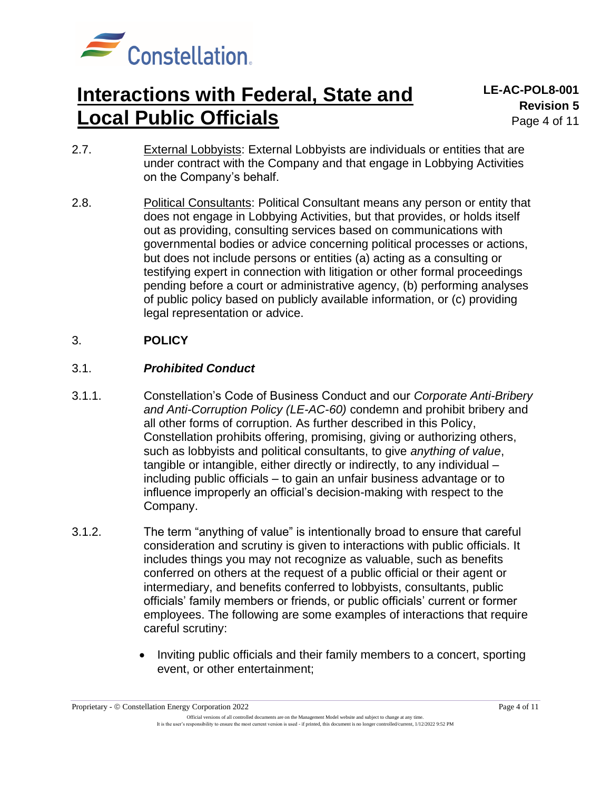

**LE-AC-POL8-001 Revision 5** Page 4 of 11

- 2.7. External Lobbyists: External Lobbyists are individuals or entities that are under contract with the Company and that engage in Lobbying Activities on the Company's behalf.
- 2.8. Political Consultants: Political Consultant means any person or entity that does not engage in Lobbying Activities, but that provides, or holds itself out as providing, consulting services based on communications with governmental bodies or advice concerning political processes or actions, but does not include persons or entities (a) acting as a consulting or testifying expert in connection with litigation or other formal proceedings pending before a court or administrative agency, (b) performing analyses of public policy based on publicly available information, or (c) providing legal representation or advice.

### 3. **POLICY**

#### 3.1. *Prohibited Conduct*

- 3.1.1. Constellation's Code of Business Conduct and our *Corporate Anti-Bribery and Anti-Corruption Policy (LE-AC-60)* condemn and prohibit bribery and all other forms of corruption. As further described in this Policy, Constellation prohibits offering, promising, giving or authorizing others, such as lobbyists and political consultants, to give *anything of value*, tangible or intangible, either directly or indirectly, to any individual – including public officials – to gain an unfair business advantage or to influence improperly an official's decision-making with respect to the Company.
- 3.1.2. The term "anything of value" is intentionally broad to ensure that careful consideration and scrutiny is given to interactions with public officials. It includes things you may not recognize as valuable, such as benefits conferred on others at the request of a public official or their agent or intermediary, and benefits conferred to lobbyists, consultants, public officials' family members or friends, or public officials' current or former employees. The following are some examples of interactions that require careful scrutiny:
	- Inviting public officials and their family members to a concert, sporting event, or other entertainment;

Proprietary - © Constellation Energy Corporation 2022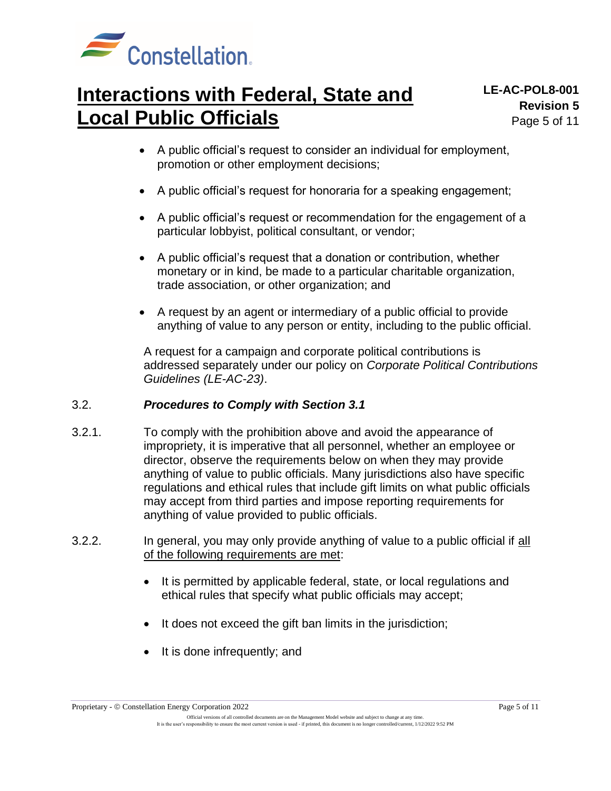

- A public official's request to consider an individual for employment, promotion or other employment decisions;
- A public official's request for honoraria for a speaking engagement;
- A public official's request or recommendation for the engagement of a particular lobbyist, political consultant, or vendor;
- A public official's request that a donation or contribution, whether monetary or in kind, be made to a particular charitable organization, trade association, or other organization; and
- A request by an agent or intermediary of a public official to provide anything of value to any person or entity, including to the public official.

A request for a campaign and corporate political contributions is addressed separately under our policy on *Corporate Political Contributions Guidelines (LE-AC-23)*.

#### 3.2. *Procedures to Comply with Section 3.1*

- 3.2.1. To comply with the prohibition above and avoid the appearance of impropriety, it is imperative that all personnel, whether an employee or director, observe the requirements below on when they may provide anything of value to public officials. Many jurisdictions also have specific regulations and ethical rules that include gift limits on what public officials may accept from third parties and impose reporting requirements for anything of value provided to public officials.
- 3.2.2. In general, you may only provide anything of value to a public official if all of the following requirements are met:
	- It is permitted by applicable federal, state, or local regulations and ethical rules that specify what public officials may accept;
	- It does not exceed the gift ban limits in the jurisdiction;
	- It is done infrequently; and

Proprietary - © Constellation Energy Corporation 2022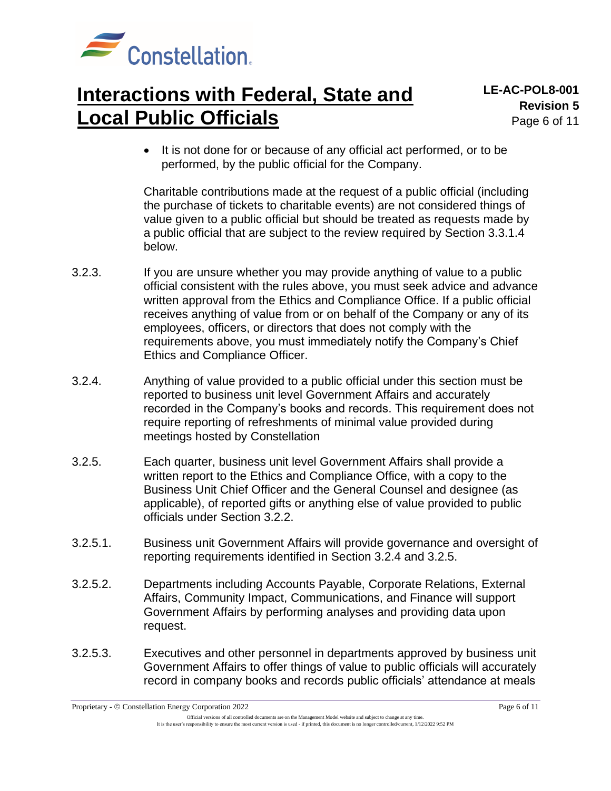

• It is not done for or because of any official act performed, or to be performed, by the public official for the Company.

Charitable contributions made at the request of a public official (including the purchase of tickets to charitable events) are not considered things of value given to a public official but should be treated as requests made by a public official that are subject to the review required by Section 3.3.1.4 below.

- 3.2.3. If you are unsure whether you may provide anything of value to a public official consistent with the rules above, you must seek advice and advance written approval from the Ethics and Compliance Office. If a public official receives anything of value from or on behalf of the Company or any of its employees, officers, or directors that does not comply with the requirements above, you must immediately notify the Company's Chief Ethics and Compliance Officer.
- 3.2.4. Anything of value provided to a public official under this section must be reported to business unit level Government Affairs and accurately recorded in the Company's books and records. This requirement does not require reporting of refreshments of minimal value provided during meetings hosted by Constellation
- 3.2.5. Each quarter, business unit level Government Affairs shall provide a written report to the Ethics and Compliance Office, with a copy to the Business Unit Chief Officer and the General Counsel and designee (as applicable), of reported gifts or anything else of value provided to public officials under Section 3.2.2.
- 3.2.5.1. Business unit Government Affairs will provide governance and oversight of reporting requirements identified in Section 3.2.4 and 3.2.5.
- 3.2.5.2. Departments including Accounts Payable, Corporate Relations, External Affairs, Community Impact, Communications, and Finance will support Government Affairs by performing analyses and providing data upon request.
- 3.2.5.3. Executives and other personnel in departments approved by business unit Government Affairs to offer things of value to public officials will accurately record in company books and records public officials' attendance at meals

Proprietary - © Constellation Energy Corporation 2022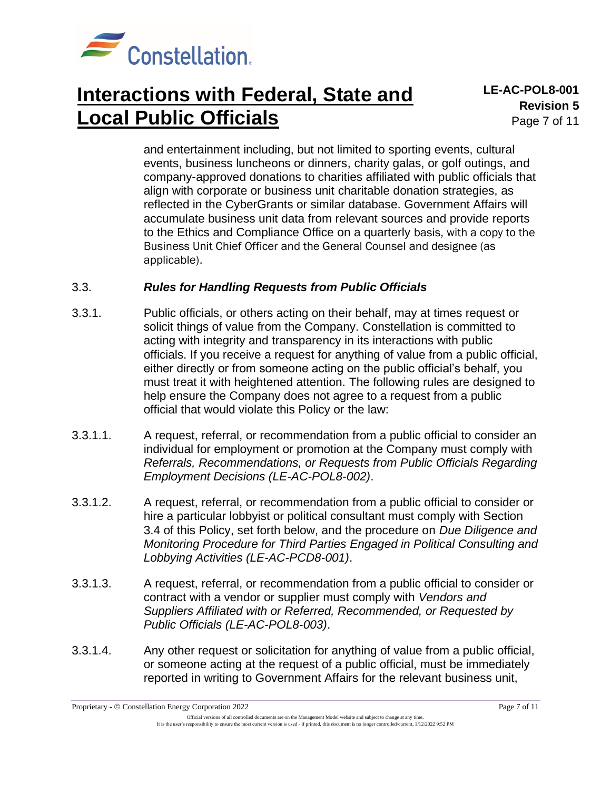

and entertainment including, but not limited to sporting events, cultural events, business luncheons or dinners, charity galas, or golf outings, and company-approved donations to charities affiliated with public officials that align with corporate or business unit charitable donation strategies, as reflected in the CyberGrants or similar database. Government Affairs will accumulate business unit data from relevant sources and provide reports to the Ethics and Compliance Office on a quarterly basis, with a copy to the Business Unit Chief Officer and the General Counsel and designee (as applicable).

#### 3.3. *Rules for Handling Requests from Public Officials*

- 3.3.1. Public officials, or others acting on their behalf, may at times request or solicit things of value from the Company. Constellation is committed to acting with integrity and transparency in its interactions with public officials. If you receive a request for anything of value from a public official, either directly or from someone acting on the public official's behalf, you must treat it with heightened attention. The following rules are designed to help ensure the Company does not agree to a request from a public official that would violate this Policy or the law:
- 3.3.1.1. A request, referral, or recommendation from a public official to consider an individual for employment or promotion at the Company must comply with *Referrals, Recommendations, or Requests from Public Officials Regarding Employment Decisions (LE-AC-POL8-002)*.
- 3.3.1.2. A request, referral, or recommendation from a public official to consider or hire a particular lobbyist or political consultant must comply with Section 3.4 of this Policy, set forth below, and the procedure on *Due Diligence and Monitoring Procedure for Third Parties Engaged in Political Consulting and Lobbying Activities (LE-AC-PCD8-001)*.
- 3.3.1.3. A request, referral, or recommendation from a public official to consider or contract with a vendor or supplier must comply with *Vendors and Suppliers Affiliated with or Referred, Recommended, or Requested by Public Officials (LE-AC-POL8-003)*.
- 3.3.1.4. Any other request or solicitation for anything of value from a public official, or someone acting at the request of a public official, must be immediately reported in writing to Government Affairs for the relevant business unit,

Proprietary - © Constellation Energy Corporation 2022

Official versions of all controlled documents are on the Management Model website and subject to change at any time. It is the user's responsibility to ensure the most current version is used - if printed, this document is no longer controlled/current, 1/12/2022 9:52 PM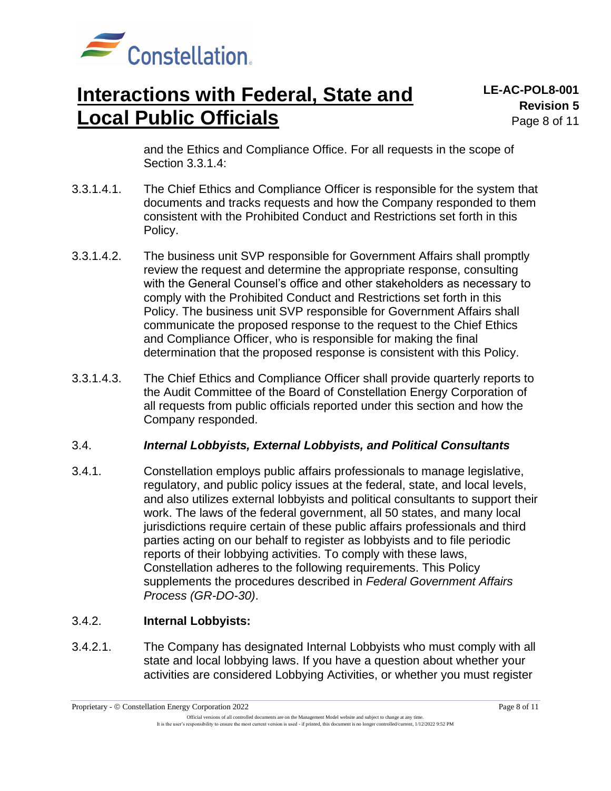

**LE-AC-POL8-001 Revision 5** Page 8 of 11

and the Ethics and Compliance Office. For all requests in the scope of Section 3.3.1.4:

- 3.3.1.4.1. The Chief Ethics and Compliance Officer is responsible for the system that documents and tracks requests and how the Company responded to them consistent with the Prohibited Conduct and Restrictions set forth in this Policy.
- 3.3.1.4.2. The business unit SVP responsible for Government Affairs shall promptly review the request and determine the appropriate response, consulting with the General Counsel's office and other stakeholders as necessary to comply with the Prohibited Conduct and Restrictions set forth in this Policy. The business unit SVP responsible for Government Affairs shall communicate the proposed response to the request to the Chief Ethics and Compliance Officer, who is responsible for making the final determination that the proposed response is consistent with this Policy.
- 3.3.1.4.3. The Chief Ethics and Compliance Officer shall provide quarterly reports to the Audit Committee of the Board of Constellation Energy Corporation of all requests from public officials reported under this section and how the Company responded.

#### 3.4. *Internal Lobbyists, External Lobbyists, and Political Consultants*

3.4.1. Constellation employs public affairs professionals to manage legislative, regulatory, and public policy issues at the federal, state, and local levels, and also utilizes external lobbyists and political consultants to support their work. The laws of the federal government, all 50 states, and many local jurisdictions require certain of these public affairs professionals and third parties acting on our behalf to register as lobbyists and to file periodic reports of their lobbying activities. To comply with these laws, Constellation adheres to the following requirements. This Policy supplements the procedures described in *Federal Government Affairs Process (GR-DO-30)*.

#### 3.4.2. **Internal Lobbyists:**

3.4.2.1. The Company has designated Internal Lobbyists who must comply with all state and local lobbying laws. If you have a question about whether your activities are considered Lobbying Activities, or whether you must register

Proprietary - © Constellation Energy Corporation 2022

Official versions of all controlled documents are on the Management Model website and subject to change at any time. It is the user's responsibility to ensure the most current version is used - if printed, this document is no longer controlled/current, 1/12/2022 9:52 PM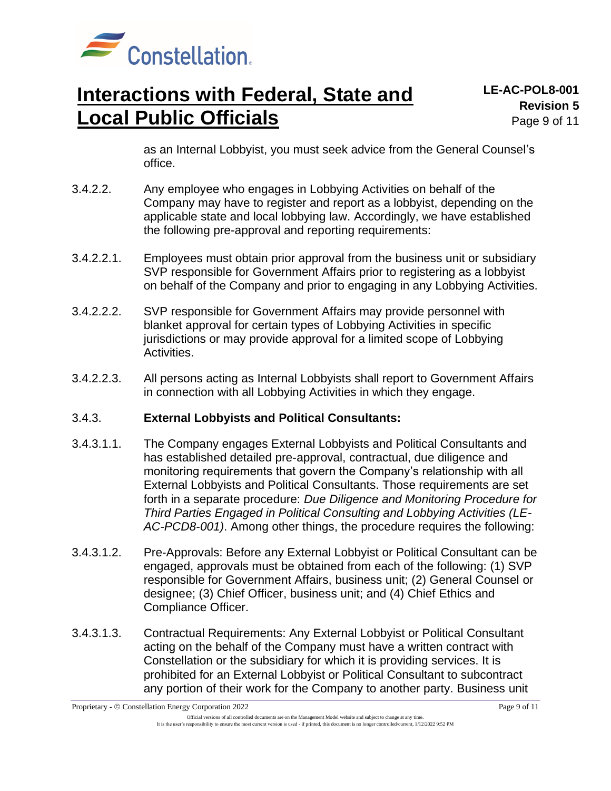

as an Internal Lobbyist, you must seek advice from the General Counsel's office.

- 3.4.2.2. Any employee who engages in Lobbying Activities on behalf of the Company may have to register and report as a lobbyist, depending on the applicable state and local lobbying law. Accordingly, we have established the following pre-approval and reporting requirements:
- 3.4.2.2.1. Employees must obtain prior approval from the business unit or subsidiary SVP responsible for Government Affairs prior to registering as a lobbyist on behalf of the Company and prior to engaging in any Lobbying Activities.
- 3.4.2.2.2. SVP responsible for Government Affairs may provide personnel with blanket approval for certain types of Lobbying Activities in specific jurisdictions or may provide approval for a limited scope of Lobbying Activities.
- 3.4.2.2.3. All persons acting as Internal Lobbyists shall report to Government Affairs in connection with all Lobbying Activities in which they engage.

#### 3.4.3. **External Lobbyists and Political Consultants:**

- 3.4.3.1.1. The Company engages External Lobbyists and Political Consultants and has established detailed pre-approval, contractual, due diligence and monitoring requirements that govern the Company's relationship with all External Lobbyists and Political Consultants. Those requirements are set forth in a separate procedure: *Due Diligence and Monitoring Procedure for Third Parties Engaged in Political Consulting and Lobbying Activities (LE-AC-PCD8-001)*. Among other things, the procedure requires the following:
- 3.4.3.1.2. Pre-Approvals: Before any External Lobbyist or Political Consultant can be engaged, approvals must be obtained from each of the following: (1) SVP responsible for Government Affairs, business unit; (2) General Counsel or designee; (3) Chief Officer, business unit; and (4) Chief Ethics and Compliance Officer.
- 3.4.3.1.3. Contractual Requirements: Any External Lobbyist or Political Consultant acting on the behalf of the Company must have a written contract with Constellation or the subsidiary for which it is providing services. It is prohibited for an External Lobbyist or Political Consultant to subcontract any portion of their work for the Company to another party. Business unit

Proprietary - © Constellation Energy Corporation 2022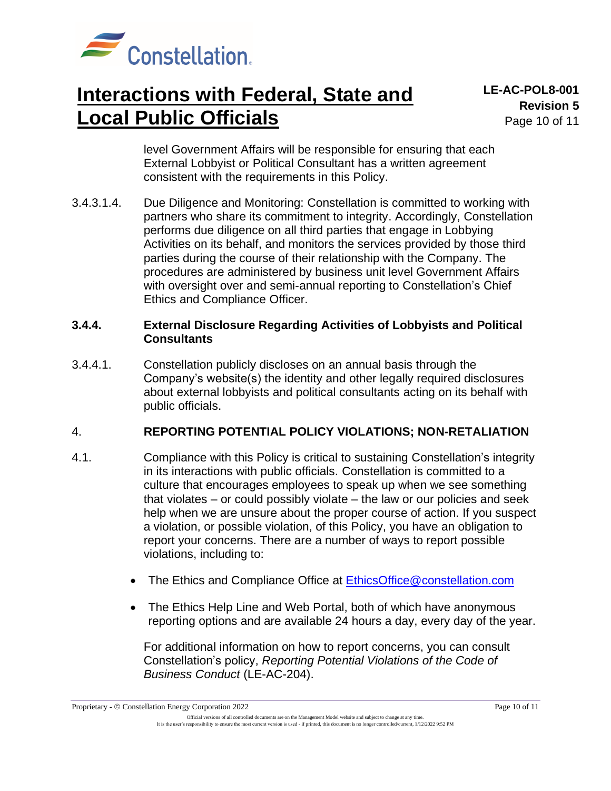

level Government Affairs will be responsible for ensuring that each External Lobbyist or Political Consultant has a written agreement consistent with the requirements in this Policy.

3.4.3.1.4. Due Diligence and Monitoring: Constellation is committed to working with partners who share its commitment to integrity. Accordingly, Constellation performs due diligence on all third parties that engage in Lobbying Activities on its behalf, and monitors the services provided by those third parties during the course of their relationship with the Company. The procedures are administered by business unit level Government Affairs with oversight over and semi-annual reporting to Constellation's Chief Ethics and Compliance Officer.

#### **3.4.4. External Disclosure Regarding Activities of Lobbyists and Political Consultants**

3.4.4.1. Constellation publicly discloses on an annual basis through the Company's website(s) the identity and other legally required disclosures about external lobbyists and political consultants acting on its behalf with public officials.

### 4. **REPORTING POTENTIAL POLICY VIOLATIONS; NON-RETALIATION**

- 4.1. Compliance with this Policy is critical to sustaining Constellation's integrity in its interactions with public officials. Constellation is committed to a culture that encourages employees to speak up when we see something that violates – or could possibly violate – the law or our policies and seek help when we are unsure about the proper course of action. If you suspect a violation, or possible violation, of this Policy, you have an obligation to report your concerns. There are a number of ways to report possible violations, including to:
	- The Ethics and Compliance Office at **EthicsOffice@constellation.com**
	- The Ethics Help Line and Web Portal, both of which have anonymous reporting options and are available 24 hours a day, every day of the year.

For additional information on how to report concerns, you can consult Constellation's policy, *Reporting Potential Violations of the Code of Business Conduct* (LE-AC-204).

#### Proprietary - © Constellation Energy Corporation 2022 Page 10 of 11